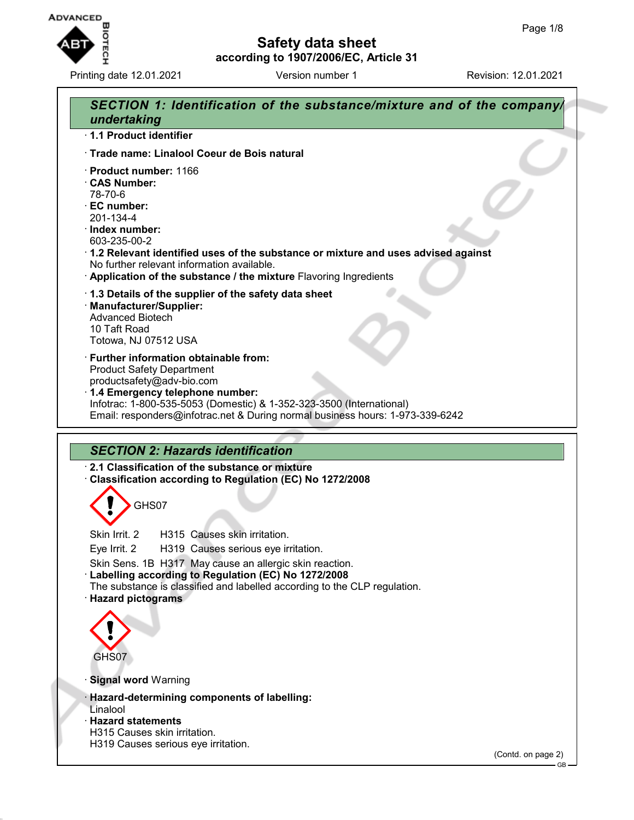

Printing date 12.01.2021 **Version number 1** Revision: 12.01.2021

## **Safety data sheet according to 1907/2006/EC, Article 31**

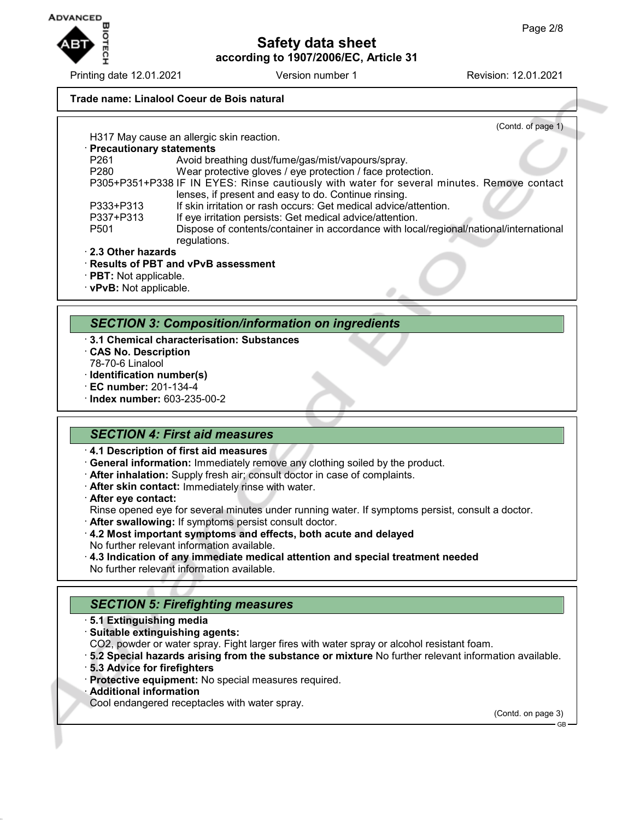

Printing date 12.01.2021 Version number 1 Revision: 12.01.2021

## **Trade name: Linalool Coeur de Bois natural**

(Contd. of page 1) H317 May cause an allergic skin reaction. · **Precautionary statements** P261 Avoid breathing dust/fume/gas/mist/vapours/spray.<br>P280 Wear protective gloves / eve protection / face prote Wear protective gloves / eye protection / face protection. P305+P351+P338 IF IN EYES: Rinse cautiously with water for several minutes. Remove contact lenses, if present and easy to do. Continue rinsing. P333+P313 If skin irritation or rash occurs: Get medical advice/attention. P337+P313 If eye irritation persists: Get medical advice/attention.<br>P501 Dispose of contents/container in accordance with loc Dispose of contents/container in accordance with local/regional/national/international regulations. · **2.3 Other hazards**

- · **Results of PBT and vPvB assessment**
- · **PBT:** Not applicable.
- · **vPvB:** Not applicable.

#### *SECTION 3: Composition/information on ingredients*

- · **3.1 Chemical characterisation: Substances**
- · **CAS No. Description** 78-70-6 Linalool
- · **Identification number(s)**
- · **EC number:** 201-134-4
- · **Index number:** 603-235-00-2

#### *SECTION 4: First aid measures*

- · **4.1 Description of first aid measures**
- · **General information:** Immediately remove any clothing soiled by the product.
- · **After inhalation:** Supply fresh air; consult doctor in case of complaints.
- · **After skin contact:** Immediately rinse with water.
- · **After eye contact:**
- Rinse opened eye for several minutes under running water. If symptoms persist, consult a doctor.
- · **After swallowing:** If symptoms persist consult doctor.
- · **4.2 Most important symptoms and effects, both acute and delayed** No further relevant information available.
- · **4.3 Indication of any immediate medical attention and special treatment needed** No further relevant information available.

## *SECTION 5: Firefighting measures*

- · **5.1 Extinguishing media**
- · **Suitable extinguishing agents:**
- CO2, powder or water spray. Fight larger fires with water spray or alcohol resistant foam.
- · **5.2 Special hazards arising from the substance or mixture** No further relevant information available.
- · **5.3 Advice for firefighters**
- · **Protective equipment:** No special measures required.
- · **Additional information**
- Cool endangered receptacles with water spray.

(Contd. on page 3)

GB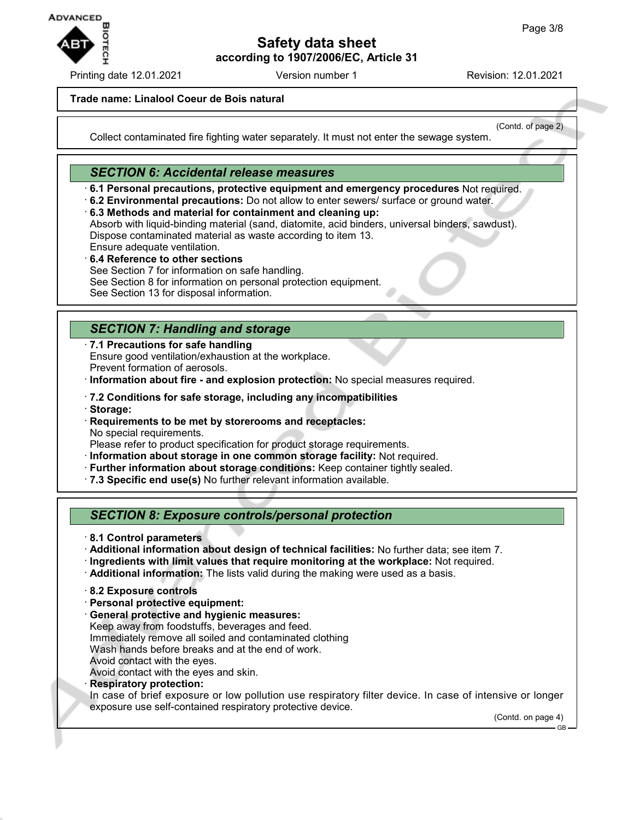

Printing date 12.01.2021 **Version number 1** Revision: 12.01.2021

(Contd. of page 2)

### **Trade name: Linalool Coeur de Bois natural**

Collect contaminated fire fighting water separately. It must not enter the sewage system.

# *SECTION 6: Accidental release measures*

- · **6.1 Personal precautions, protective equipment and emergency procedures** Not required.
- · **6.2 Environmental precautions:** Do not allow to enter sewers/ surface or ground water.

· **6.3 Methods and material for containment and cleaning up:** Absorb with liquid-binding material (sand, diatomite, acid binders, universal binders, sawdust). Dispose contaminated material as waste according to item 13. Ensure adequate ventilation.

· **6.4 Reference to other sections** See Section 7 for information on safe handling. See Section 8 for information on personal protection equipment. See Section 13 for disposal information.

# *SECTION 7: Handling and storage*

· **7.1 Precautions for safe handling** Ensure good ventilation/exhaustion at the workplace. Prevent formation of aerosols.

· **Information about fire - and explosion protection:** No special measures required.

- · **7.2 Conditions for safe storage, including any incompatibilities**
- · **Storage:**
- · **Requirements to be met by storerooms and receptacles:** No special requirements.

Please refer to product specification for product storage requirements.

- · **Information about storage in one common storage facility:** Not required.
- · **Further information about storage conditions:** Keep container tightly sealed.
- · **7.3 Specific end use(s)** No further relevant information available.

# *SECTION 8: Exposure controls/personal protection*

- · **8.1 Control parameters**
- · **Additional information about design of technical facilities:** No further data; see item 7.
- · **Ingredients with limit values that require monitoring at the workplace:** Not required.
- · **Additional information:** The lists valid during the making were used as a basis.
- · **8.2 Exposure controls**
- · **Personal protective equipment:**
- · **General protective and hygienic measures:**
- Keep away from foodstuffs, beverages and feed.
- Immediately remove all soiled and contaminated clothing

Wash hands before breaks and at the end of work.

Avoid contact with the eyes.

Avoid contact with the eyes and skin.

· **Respiratory protection:**

In case of brief exposure or low pollution use respiratory filter device. In case of intensive or longer exposure use self-contained respiratory protective device.

(Contd. on page 4) GB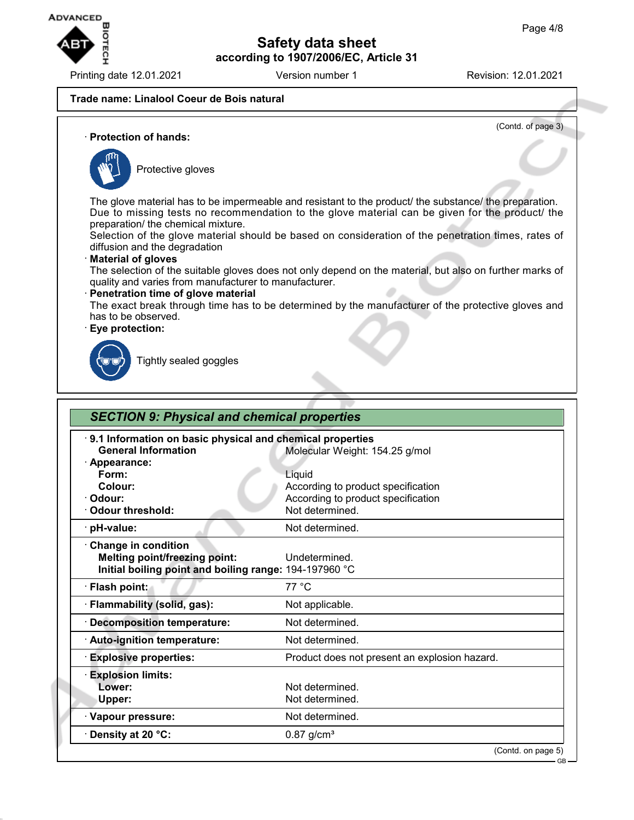

Printing date 12.01.2021 **Version number 1** Revision: 12.01.2021

(Contd. of page 3)

GB

#### **Trade name: Linalool Coeur de Bois natural**

· **Protection of hands:**



Protective gloves

The glove material has to be impermeable and resistant to the product/ the substance/ the preparation. Due to missing tests no recommendation to the glove material can be given for the product/ the preparation/ the chemical mixture.

Selection of the glove material should be based on consideration of the penetration times, rates of diffusion and the degradation

#### · **Material of gloves**

The selection of the suitable gloves does not only depend on the material, but also on further marks of quality and varies from manufacturer to manufacturer.

#### · **Penetration time of glove material**

The exact break through time has to be determined by the manufacturer of the protective gloves and has to be observed.

#### · **Eye protection:**



Tightly sealed goggles

| 9.1 Information on basic physical and chemical properties |                                               |  |
|-----------------------------------------------------------|-----------------------------------------------|--|
| <b>General Information</b>                                | Molecular Weight: 154.25 g/mol                |  |
| · Appearance:                                             |                                               |  |
| Form:                                                     | Liquid                                        |  |
| Colour:                                                   | According to product specification            |  |
| · Odour:                                                  | According to product specification            |  |
| Odour threshold:                                          | Not determined.                               |  |
| · pH-value:                                               | Not determined.                               |  |
| Change in condition                                       |                                               |  |
| <b>Melting point/freezing point:</b>                      | Undetermined.                                 |  |
| Initial boiling point and boiling range: 194-197960 °C    |                                               |  |
| · Flash point:                                            | 77 °C                                         |  |
| · Flammability (solid, gas):                              | Not applicable.                               |  |
| · Decomposition temperature:                              | Not determined.                               |  |
| · Auto-ignition temperature:                              | Not determined.                               |  |
| <b>Explosive properties:</b>                              | Product does not present an explosion hazard. |  |
| <b>Explosion limits:</b>                                  |                                               |  |
| Lower:                                                    | Not determined.                               |  |
| Upper:                                                    | Not determined.                               |  |
| · Vapour pressure:                                        | Not determined.                               |  |
| Density at 20 °C:                                         | $0.87$ g/cm <sup>3</sup>                      |  |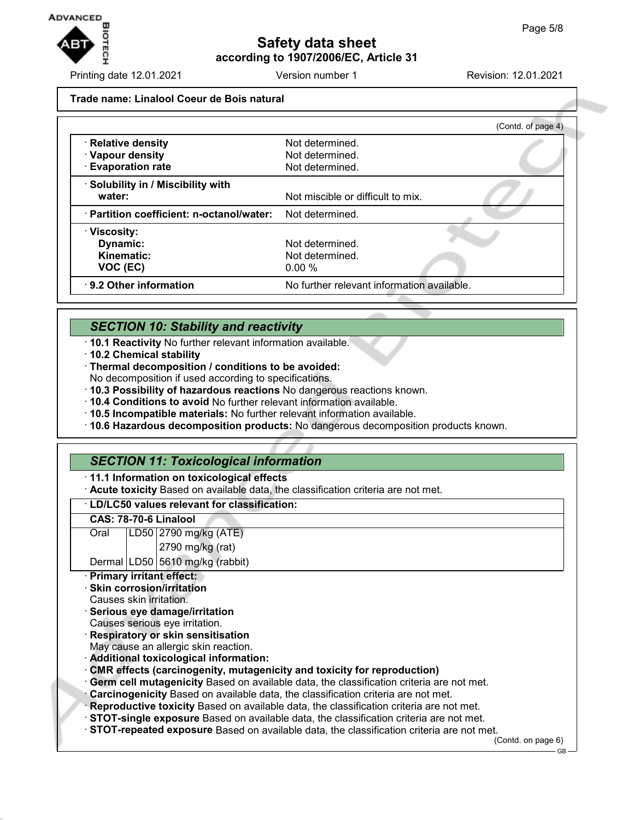

Printing date 12.01.2021 **Version number 1** Revision: 12.01.2021

**Trade name: Linalool Coeur de Bois natural**

|                                           | (Contd. of page 4)                         |
|-------------------------------------------|--------------------------------------------|
| · Relative density                        | Not determined.                            |
| · Vapour density                          | Not determined.                            |
| <b>Evaporation rate</b>                   | Not determined.                            |
| · Solubility in / Miscibility with        |                                            |
| water:                                    | Not miscible or difficult to mix.          |
| · Partition coefficient: n-octanol/water: | Not determined.                            |
| · Viscosity:                              |                                            |
| Dynamic:                                  | Not determined.                            |
| Kinematic:                                | Not determined.                            |
| VOC (EC)                                  | 0.00%                                      |
| 9.2 Other information                     | No further relevant information available. |

## *SECTION 10: Stability and reactivity*

- · **10.1 Reactivity** No further relevant information available.
- · **10.2 Chemical stability**
- · **Thermal decomposition / conditions to be avoided:**
- No decomposition if used according to specifications.
- · **10.3 Possibility of hazardous reactions** No dangerous reactions known.
- · **10.4 Conditions to avoid** No further relevant information available.
- · **10.5 Incompatible materials:** No further relevant information available.
- · **10.6 Hazardous decomposition products:** No dangerous decomposition products known.

## *SECTION 11: Toxicological information*

#### · **11.1 Information on toxicological effects**

· **Acute toxicity** Based on available data, the classification criteria are not met.

· **LD/LC50 values relevant for classification:**

#### **CAS: 78-70-6 Linalool**

| Oral | LD50 2790 mg/kg (ATE) |
|------|-----------------------|
|      | $2790$ mg/kg (rat)    |

Dermal LD50 5610 mg/kg (rabbit)

#### · **Primary irritant effect:**

- · **Skin corrosion/irritation**
- Causes skin irritation.
- · **Serious eye damage/irritation**
- Causes serious eye irritation.
- · **Respiratory or skin sensitisation**
- May cause an allergic skin reaction.
- · **Additional toxicological information:**
- · **CMR effects (carcinogenity, mutagenicity and toxicity for reproduction)**
- · **Germ cell mutagenicity** Based on available data, the classification criteria are not met.
- · **Carcinogenicity** Based on available data, the classification criteria are not met.
- · **Reproductive toxicity** Based on available data, the classification criteria are not met.
- · **STOT-single exposure** Based on available data, the classification criteria are not met.
- · **STOT-repeated exposure** Based on available data, the classification criteria are not met.

(Contd. on page 6)

GB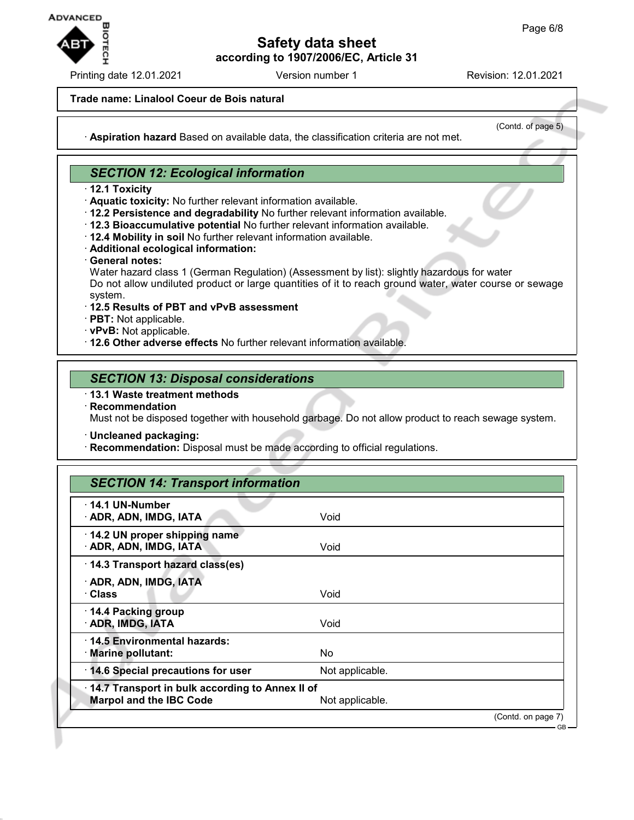

Printing date 12.01.2021 **Version number 1** Revision: 12.01.2021

#### **Trade name: Linalool Coeur de Bois natural**

(Contd. of page 5)

· **Aspiration hazard** Based on available data, the classification criteria are not met.

## *SECTION 12: Ecological information*

- · **12.1 Toxicity**
- · **Aquatic toxicity:** No further relevant information available.
- · **12.2 Persistence and degradability** No further relevant information available.
- · **12.3 Bioaccumulative potential** No further relevant information available.
- · **12.4 Mobility in soil** No further relevant information available.
- · **Additional ecological information:**
- · **General notes:**

Water hazard class 1 (German Regulation) (Assessment by list): slightly hazardous for water Do not allow undiluted product or large quantities of it to reach ground water, water course or sewage system.

- · **12.5 Results of PBT and vPvB assessment**
- · **PBT:** Not applicable.
- · **vPvB:** Not applicable.
- · **12.6 Other adverse effects** No further relevant information available.

#### *SECTION 13: Disposal considerations*

· **13.1 Waste treatment methods**

· **Recommendation** Must not be disposed together with household garbage. Do not allow product to reach sewage system.

- · **Uncleaned packaging:**
- · **Recommendation:** Disposal must be made according to official regulations.

## *SECTION 14: Transport information*

| 14.1 UN-Number<br>· ADR, ADN, IMDG, IATA                                          | Void            |                    |
|-----------------------------------------------------------------------------------|-----------------|--------------------|
| 14.2 UN proper shipping name<br>· ADR, ADN, IMDG, IATA                            | Void            |                    |
| 14.3 Transport hazard class(es)                                                   |                 |                    |
| · ADR, ADN, IMDG, IATA<br>· Class                                                 | Void            |                    |
| 14.4 Packing group<br>· ADR, IMDG, IATA                                           | Void            |                    |
| 14.5 Environmental hazards:<br>· Marine pollutant:                                | No              |                    |
| 14.6 Special precautions for user                                                 | Not applicable. |                    |
| 14.7 Transport in bulk according to Annex II of<br><b>Marpol and the IBC Code</b> | Not applicable. |                    |
|                                                                                   |                 | (Contd. on page 7) |

GB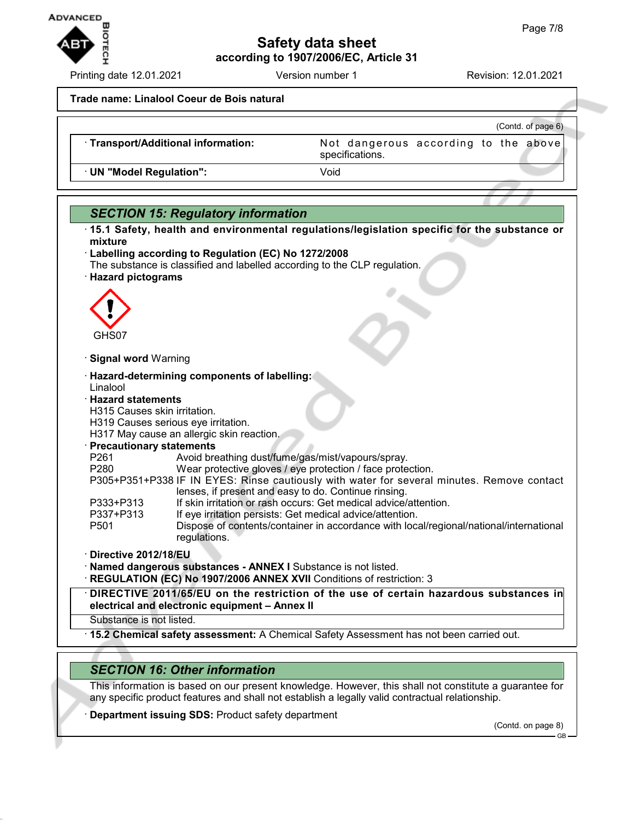

Printing date 12.01.2021 **Version number 1** Revision: 12.01.2021

**Trade name: Linalool Coeur de Bois natural**

|                                     | (Contd. of page 6)                                      |
|-------------------------------------|---------------------------------------------------------|
| · Transport/Additional information: | Not dangerous according to the above<br>specifications. |
| · UN "Model Regulation":            | Void                                                    |



· **15.2 Chemical safety assessment:** A Chemical Safety Assessment has not been carried out.

## *SECTION 16: Other information*

This information is based on our present knowledge. However, this shall not constitute a guarantee for any specific product features and shall not establish a legally valid contractual relationship.

**Department issuing SDS: Product safety department** 

(Contd. on page 8)

GB